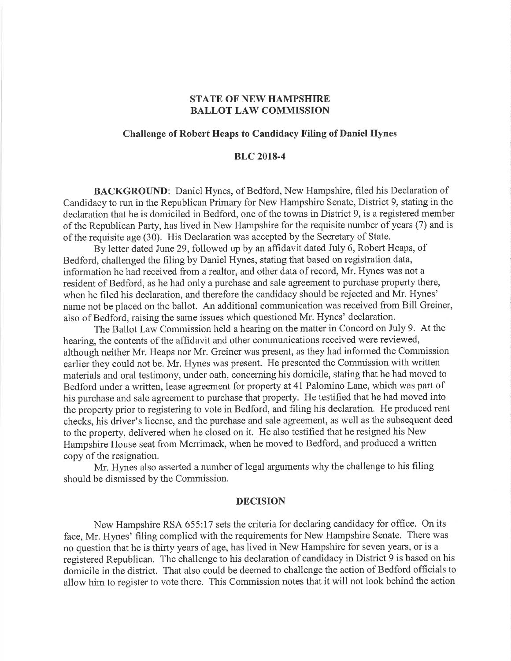## STATE OF NEW HAMPSHIRE BALLOT LAW COMMISSION

## Challenge of Robert Heaps to Candidacy Filing of Daniel Hynes

## BLC 2018-4

BACKGROUND: Daniel Hynes, of Bedford, New Hampshire, filed his Declaration of Candidacy to run in the Republican Primary for New Hampshire Senate, District 9, stating in the declaration that he is domiciled in Bedford, one of the towns in District 9, is a registered member of the Republican Party, has lived in New Hampshire for the requisite number of years (7) and is of the requisite age (30). His Declaration was accepted by the Secretary of State.

By letter dated June29, followed up by an affidavit dated July 6, Robert Heaps, of Bedford, challenged the filing by Daniel Hynes, stating that based on registration data, information he had received from a realtor, and other data of record, Mr. Hynes was not a resident of Bedford, as he had only a purchase and sale agreement to purchase property there, when he filed his declaration, and therefore the candidacy should be rejected and Mr. Hynes' name not be placed on the ballot. An additional communication was received from Bill Greiner, also of Bedford, raising the same issues which questioned Mr. Hynes' declaration.

The Ballot Law Commission held a hearing on the matter in Concord on July 9. At the hearing, the contents of the affidavit and other communications received were reviewed, although neither Mr. Heaps nor Mr. Greiner was present, as they had informed the Commission earlier they could not be. Mr. Hynes was present. He presented the Commission with written materials and oral testimony, under oath, concerning his domicile, stating that he had moved to Bedford under a written, lease agreement for property at 41 Palomino Lane, which was part of his purchase and sale agreement to purchase that property. He testified that he had moved into the property prior to registering to vote in Bedford, and filing his declaration. He produced rent checks, his driver's license, and the purchase and sale agreement, as well as the subsequent deed to the property, delivered when he closed on it. He also testified that he resigned his New Hampshire House seat from Merrimack, when he moved to Bedford, and produced a written copy of the resignation.

Mr. Hynes also asserted a number of legal arguments why the challenge to his filing should be dismissed by the Commission.

#### DECISION

New Hampshire RSA 655:17 sets the criteria for declaring candidacy for office. On its face, Mr. Hynes' filing complied with the requirements for New Hampshire Senate. There was no question that he is thirty years of age, has lived in New Hampshire for seven years, or is a registered Republican. The challenge to his declaration of candidacy in District 9 is based on his domicile in the district. That also could be deemed to challenge the action of Bedford officials to allow him to register to vote there. This Commission notes that it will not look behind the action